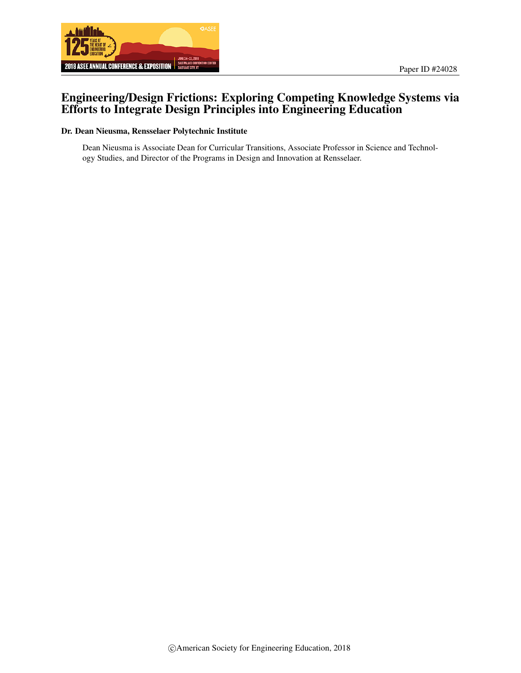

# Engineering/Design Frictions: Exploring Competing Knowledge Systems via Efforts to Integrate Design Principles into Engineering Education

#### Dr. Dean Nieusma, Rensselaer Polytechnic Institute

Dean Nieusma is Associate Dean for Curricular Transitions, Associate Professor in Science and Technology Studies, and Director of the Programs in Design and Innovation at Rensselaer.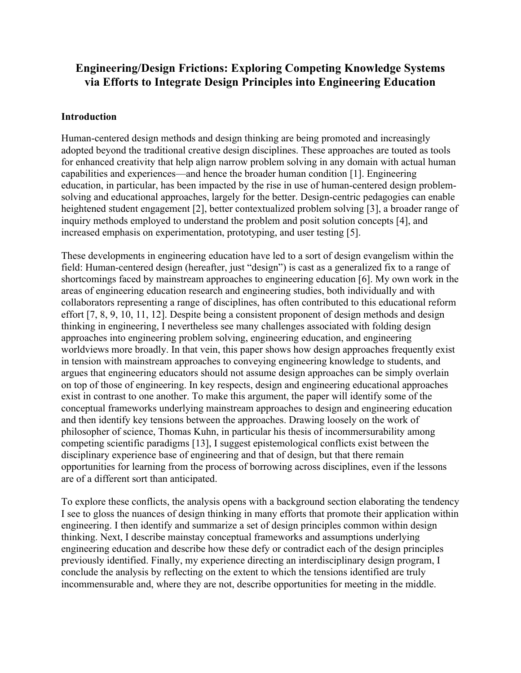# **Engineering/Design Frictions: Exploring Competing Knowledge Systems via Efforts to Integrate Design Principles into Engineering Education**

## **Introduction**

Human-centered design methods and design thinking are being promoted and increasingly adopted beyond the traditional creative design disciplines. These approaches are touted as tools for enhanced creativity that help align narrow problem solving in any domain with actual human capabilities and experiences—and hence the broader human condition [1]. Engineering education, in particular, has been impacted by the rise in use of human-centered design problemsolving and educational approaches, largely for the better. Design-centric pedagogies can enable heightened student engagement [2], better contextualized problem solving [3], a broader range of inquiry methods employed to understand the problem and posit solution concepts [4], and increased emphasis on experimentation, prototyping, and user testing [5].

These developments in engineering education have led to a sort of design evangelism within the field: Human-centered design (hereafter, just "design") is cast as a generalized fix to a range of shortcomings faced by mainstream approaches to engineering education [6]. My own work in the areas of engineering education research and engineering studies, both individually and with collaborators representing a range of disciplines, has often contributed to this educational reform effort [7, 8, 9, 10, 11, 12]. Despite being a consistent proponent of design methods and design thinking in engineering, I nevertheless see many challenges associated with folding design approaches into engineering problem solving, engineering education, and engineering worldviews more broadly. In that vein, this paper shows how design approaches frequently exist in tension with mainstream approaches to conveying engineering knowledge to students, and argues that engineering educators should not assume design approaches can be simply overlain on top of those of engineering. In key respects, design and engineering educational approaches exist in contrast to one another. To make this argument, the paper will identify some of the conceptual frameworks underlying mainstream approaches to design and engineering education and then identify key tensions between the approaches. Drawing loosely on the work of philosopher of science, Thomas Kuhn, in particular his thesis of incommersurability among competing scientific paradigms [13], I suggest epistemological conflicts exist between the disciplinary experience base of engineering and that of design, but that there remain opportunities for learning from the process of borrowing across disciplines, even if the lessons are of a different sort than anticipated.

To explore these conflicts, the analysis opens with a background section elaborating the tendency I see to gloss the nuances of design thinking in many efforts that promote their application within engineering. I then identify and summarize a set of design principles common within design thinking. Next, I describe mainstay conceptual frameworks and assumptions underlying engineering education and describe how these defy or contradict each of the design principles previously identified. Finally, my experience directing an interdisciplinary design program, I conclude the analysis by reflecting on the extent to which the tensions identified are truly incommensurable and, where they are not, describe opportunities for meeting in the middle.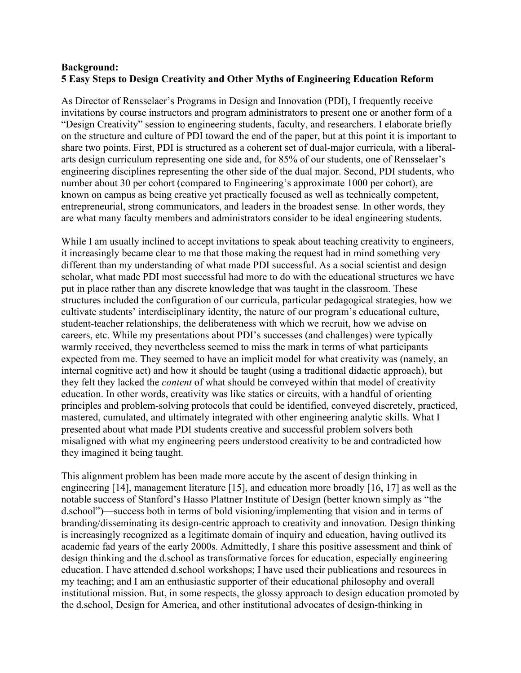### **Background: 5 Easy Steps to Design Creativity and Other Myths of Engineering Education Reform**

As Director of Rensselaer's Programs in Design and Innovation (PDI), I frequently receive invitations by course instructors and program administrators to present one or another form of a "Design Creativity" session to engineering students, faculty, and researchers. I elaborate briefly on the structure and culture of PDI toward the end of the paper, but at this point it is important to share two points. First, PDI is structured as a coherent set of dual-major curricula, with a liberalarts design curriculum representing one side and, for 85% of our students, one of Rensselaer's engineering disciplines representing the other side of the dual major. Second, PDI students, who number about 30 per cohort (compared to Engineering's approximate 1000 per cohort), are known on campus as being creative yet practically focused as well as technically competent, entrepreneurial, strong communicators, and leaders in the broadest sense. In other words, they are what many faculty members and administrators consider to be ideal engineering students.

While I am usually inclined to accept invitations to speak about teaching creativity to engineers, it increasingly became clear to me that those making the request had in mind something very different than my understanding of what made PDI successful. As a social scientist and design scholar, what made PDI most successful had more to do with the educational structures we have put in place rather than any discrete knowledge that was taught in the classroom. These structures included the configuration of our curricula, particular pedagogical strategies, how we cultivate students' interdisciplinary identity, the nature of our program's educational culture, student-teacher relationships, the deliberateness with which we recruit, how we advise on careers, etc. While my presentations about PDI's successes (and challenges) were typically warmly received, they nevertheless seemed to miss the mark in terms of what participants expected from me. They seemed to have an implicit model for what creativity was (namely, an internal cognitive act) and how it should be taught (using a traditional didactic approach), but they felt they lacked the *content* of what should be conveyed within that model of creativity education. In other words, creativity was like statics or circuits, with a handful of orienting principles and problem-solving protocols that could be identified, conveyed discretely, practiced, mastered, cumulated, and ultimately integrated with other engineering analytic skills. What I presented about what made PDI students creative and successful problem solvers both misaligned with what my engineering peers understood creativity to be and contradicted how they imagined it being taught.

This alignment problem has been made more accute by the ascent of design thinking in engineering [14], management literature [15], and education more broadly [16, 17] as well as the notable success of Stanford's Hasso Plattner Institute of Design (better known simply as "the d.school")—success both in terms of bold visioning/implementing that vision and in terms of branding/disseminating its design-centric approach to creativity and innovation. Design thinking is increasingly recognized as a legitimate domain of inquiry and education, having outlived its academic fad years of the early 2000s. Admittedly, I share this positive assessment and think of design thinking and the d.school as transformative forces for education, especially engineering education. I have attended d.school workshops; I have used their publications and resources in my teaching; and I am an enthusiastic supporter of their educational philosophy and overall institutional mission. But, in some respects, the glossy approach to design education promoted by the d.school, Design for America, and other institutional advocates of design-thinking in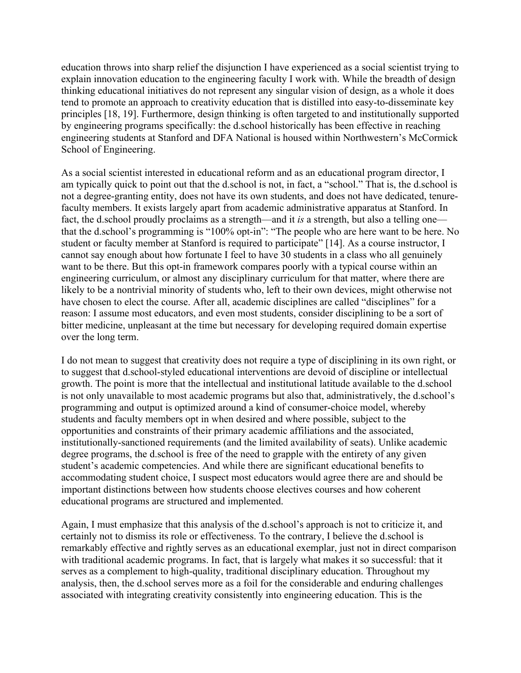education throws into sharp relief the disjunction I have experienced as a social scientist trying to explain innovation education to the engineering faculty I work with. While the breadth of design thinking educational initiatives do not represent any singular vision of design, as a whole it does tend to promote an approach to creativity education that is distilled into easy-to-disseminate key principles [18, 19]. Furthermore, design thinking is often targeted to and institutionally supported by engineering programs specifically: the d.school historically has been effective in reaching engineering students at Stanford and DFA National is housed within Northwestern's McCormick School of Engineering.

As a social scientist interested in educational reform and as an educational program director, I am typically quick to point out that the d.school is not, in fact, a "school." That is, the d.school is not a degree-granting entity, does not have its own students, and does not have dedicated, tenurefaculty members. It exists largely apart from academic administrative apparatus at Stanford. In fact, the d.school proudly proclaims as a strength—and it *is* a strength, but also a telling one that the d.school's programming is "100% opt-in": "The people who are here want to be here. No student or faculty member at Stanford is required to participate" [14]. As a course instructor, I cannot say enough about how fortunate I feel to have 30 students in a class who all genuinely want to be there. But this opt-in framework compares poorly with a typical course within an engineering curriculum, or almost any disciplinary curriculum for that matter, where there are likely to be a nontrivial minority of students who, left to their own devices, might otherwise not have chosen to elect the course. After all, academic disciplines are called "disciplines" for a reason: I assume most educators, and even most students, consider disciplining to be a sort of bitter medicine, unpleasant at the time but necessary for developing required domain expertise over the long term.

I do not mean to suggest that creativity does not require a type of disciplining in its own right, or to suggest that d.school-styled educational interventions are devoid of discipline or intellectual growth. The point is more that the intellectual and institutional latitude available to the d.school is not only unavailable to most academic programs but also that, administratively, the d.school's programming and output is optimized around a kind of consumer-choice model, whereby students and faculty members opt in when desired and where possible, subject to the opportunities and constraints of their primary academic affiliations and the associated, institutionally-sanctioned requirements (and the limited availability of seats). Unlike academic degree programs, the d.school is free of the need to grapple with the entirety of any given student's academic competencies. And while there are significant educational benefits to accommodating student choice, I suspect most educators would agree there are and should be important distinctions between how students choose electives courses and how coherent educational programs are structured and implemented.

Again, I must emphasize that this analysis of the d.school's approach is not to criticize it, and certainly not to dismiss its role or effectiveness. To the contrary, I believe the d.school is remarkably effective and rightly serves as an educational exemplar, just not in direct comparison with traditional academic programs. In fact, that is largely what makes it so successful: that it serves as a complement to high-quality, traditional disciplinary education. Throughout my analysis, then, the d.school serves more as a foil for the considerable and enduring challenges associated with integrating creativity consistently into engineering education. This is the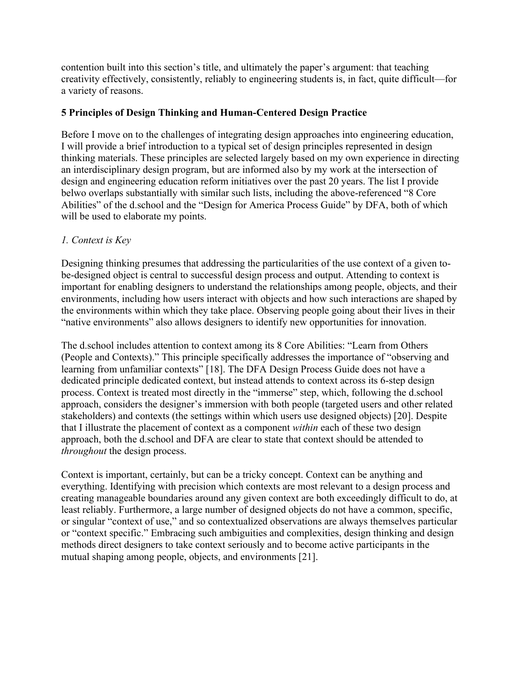contention built into this section's title, and ultimately the paper's argument: that teaching creativity effectively, consistently, reliably to engineering students is, in fact, quite difficult—for a variety of reasons.

## **5 Principles of Design Thinking and Human-Centered Design Practice**

Before I move on to the challenges of integrating design approaches into engineering education, I will provide a brief introduction to a typical set of design principles represented in design thinking materials. These principles are selected largely based on my own experience in directing an interdisciplinary design program, but are informed also by my work at the intersection of design and engineering education reform initiatives over the past 20 years. The list I provide belwo overlaps substantially with similar such lists, including the above-referenced "8 Core Abilities" of the d.school and the "Design for America Process Guide" by DFA, both of which will be used to elaborate my points.

## *1. Context is Key*

Designing thinking presumes that addressing the particularities of the use context of a given tobe-designed object is central to successful design process and output. Attending to context is important for enabling designers to understand the relationships among people, objects, and their environments, including how users interact with objects and how such interactions are shaped by the environments within which they take place. Observing people going about their lives in their "native environments" also allows designers to identify new opportunities for innovation.

The d.school includes attention to context among its 8 Core Abilities: "Learn from Others (People and Contexts)." This principle specifically addresses the importance of "observing and learning from unfamiliar contexts" [18]. The DFA Design Process Guide does not have a dedicated principle dedicated context, but instead attends to context across its 6-step design process. Context is treated most directly in the "immerse" step, which, following the d.school approach, considers the designer's immersion with both people (targeted users and other related stakeholders) and contexts (the settings within which users use designed objects) [20]. Despite that I illustrate the placement of context as a component *within* each of these two design approach, both the d.school and DFA are clear to state that context should be attended to *throughout* the design process.

Context is important, certainly, but can be a tricky concept. Context can be anything and everything. Identifying with precision which contexts are most relevant to a design process and creating manageable boundaries around any given context are both exceedingly difficult to do, at least reliably. Furthermore, a large number of designed objects do not have a common, specific, or singular "context of use," and so contextualized observations are always themselves particular or "context specific." Embracing such ambiguities and complexities, design thinking and design methods direct designers to take context seriously and to become active participants in the mutual shaping among people, objects, and environments [21].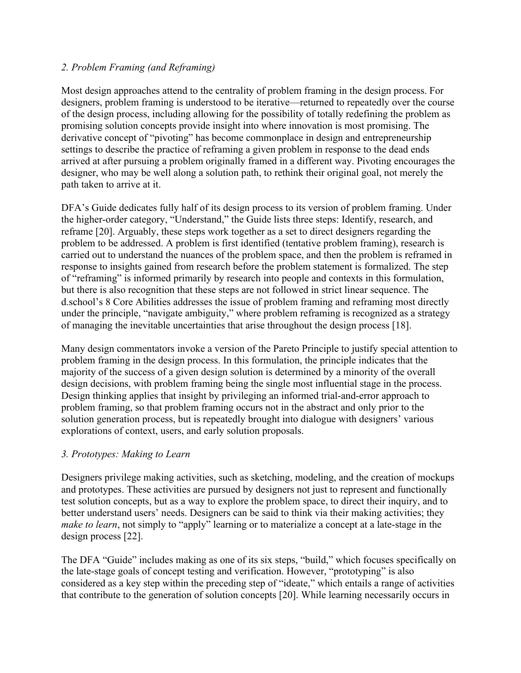## *2. Problem Framing (and Reframing)*

Most design approaches attend to the centrality of problem framing in the design process. For designers, problem framing is understood to be iterative—returned to repeatedly over the course of the design process, including allowing for the possibility of totally redefining the problem as promising solution concepts provide insight into where innovation is most promising. The derivative concept of "pivoting" has become commonplace in design and entrepreneurship settings to describe the practice of reframing a given problem in response to the dead ends arrived at after pursuing a problem originally framed in a different way. Pivoting encourages the designer, who may be well along a solution path, to rethink their original goal, not merely the path taken to arrive at it.

DFA's Guide dedicates fully half of its design process to its version of problem framing. Under the higher-order category, "Understand," the Guide lists three steps: Identify, research, and reframe [20]. Arguably, these steps work together as a set to direct designers regarding the problem to be addressed. A problem is first identified (tentative problem framing), research is carried out to understand the nuances of the problem space, and then the problem is reframed in response to insights gained from research before the problem statement is formalized. The step of "reframing" is informed primarily by research into people and contexts in this formulation, but there is also recognition that these steps are not followed in strict linear sequence. The d.school's 8 Core Abilities addresses the issue of problem framing and reframing most directly under the principle, "navigate ambiguity," where problem reframing is recognized as a strategy of managing the inevitable uncertainties that arise throughout the design process [18].

Many design commentators invoke a version of the Pareto Principle to justify special attention to problem framing in the design process. In this formulation, the principle indicates that the majority of the success of a given design solution is determined by a minority of the overall design decisions, with problem framing being the single most influential stage in the process. Design thinking applies that insight by privileging an informed trial-and-error approach to problem framing, so that problem framing occurs not in the abstract and only prior to the solution generation process, but is repeatedly brought into dialogue with designers' various explorations of context, users, and early solution proposals.

## *3. Prototypes: Making to Learn*

Designers privilege making activities, such as sketching, modeling, and the creation of mockups and prototypes. These activities are pursued by designers not just to represent and functionally test solution concepts, but as a way to explore the problem space, to direct their inquiry, and to better understand users' needs. Designers can be said to think via their making activities; they *make to learn*, not simply to "apply" learning or to materialize a concept at a late-stage in the design process [22].

The DFA "Guide" includes making as one of its six steps, "build," which focuses specifically on the late-stage goals of concept testing and verification. However, "prototyping" is also considered as a key step within the preceding step of "ideate," which entails a range of activities that contribute to the generation of solution concepts [20]. While learning necessarily occurs in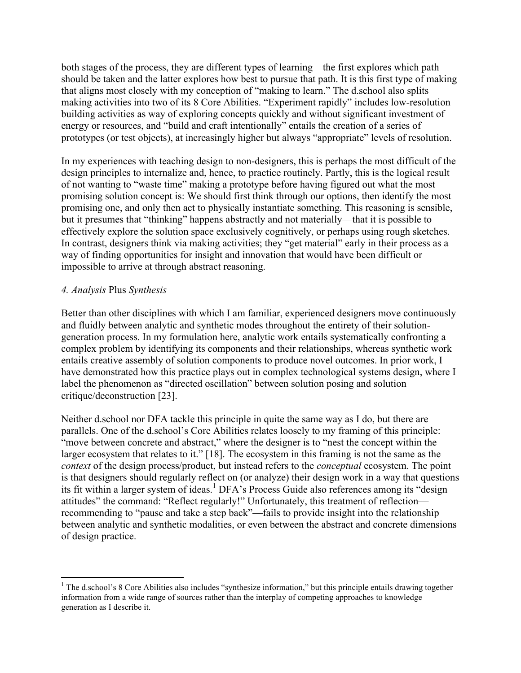both stages of the process, they are different types of learning—the first explores which path should be taken and the latter explores how best to pursue that path. It is this first type of making that aligns most closely with my conception of "making to learn." The d.school also splits making activities into two of its 8 Core Abilities. "Experiment rapidly" includes low-resolution building activities as way of exploring concepts quickly and without significant investment of energy or resources, and "build and craft intentionally" entails the creation of a series of prototypes (or test objects), at increasingly higher but always "appropriate" levels of resolution.

In my experiences with teaching design to non-designers, this is perhaps the most difficult of the design principles to internalize and, hence, to practice routinely. Partly, this is the logical result of not wanting to "waste time" making a prototype before having figured out what the most promising solution concept is: We should first think through our options, then identify the most promising one, and only then act to physically instantiate something. This reasoning is sensible, but it presumes that "thinking" happens abstractly and not materially—that it is possible to effectively explore the solution space exclusively cognitively, or perhaps using rough sketches. In contrast, designers think via making activities; they "get material" early in their process as a way of finding opportunities for insight and innovation that would have been difficult or impossible to arrive at through abstract reasoning.

### *4. Analysis* Plus *Synthesis*

Better than other disciplines with which I am familiar, experienced designers move continuously and fluidly between analytic and synthetic modes throughout the entirety of their solutiongeneration process. In my formulation here, analytic work entails systematically confronting a complex problem by identifying its components and their relationships, whereas synthetic work entails creative assembly of solution components to produce novel outcomes. In prior work, I have demonstrated how this practice plays out in complex technological systems design, where I label the phenomenon as "directed oscillation" between solution posing and solution critique/deconstruction [23].

Neither d.school nor DFA tackle this principle in quite the same way as I do, but there are parallels. One of the d.school's Core Abilities relates loosely to my framing of this principle: "move between concrete and abstract," where the designer is to "nest the concept within the larger ecosystem that relates to it." [18]. The ecosystem in this framing is not the same as the *context* of the design process/product, but instead refers to the *conceptual* ecosystem. The point is that designers should regularly reflect on (or analyze) their design work in a way that questions its fit within a larger system of ideas.<sup>1</sup> DFA's Process Guide also references among its "design attitudes" the command: "Reflect regularly!" Unfortunately, this treatment of reflection recommending to "pause and take a step back"—fails to provide insight into the relationship between analytic and synthetic modalities, or even between the abstract and concrete dimensions of design practice.

<sup>&</sup>lt;sup>1</sup> The d.school's 8 Core Abilities also includes "synthesize information," but this principle entails drawing together information from a wide range of sources rather than the interplay of competing approaches to knowledge generation as I describe it.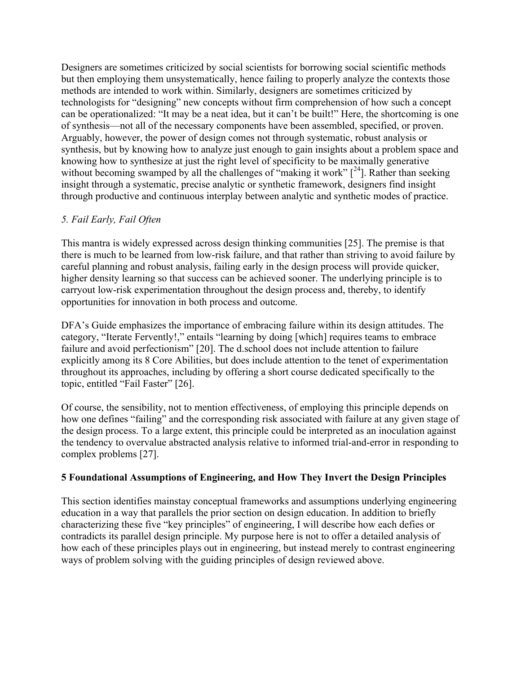Designers are sometimes criticized by social scientists for borrowing social scientific methods but then employing them unsystematically, hence failing to properly analyze the contexts those methods are intended to work within. Similarly, designers are sometimes criticized by technologists for "designing" new concepts without firm comprehension of how such a concept can be operationalized: "It may be a neat idea, but it can't be built!" Here, the shortcoming is one of synthesis—not all of the necessary components have been assembled, specified, or proven. Arguably, however, the power of design comes not through systematic, robust analysis or synthesis, but by knowing how to analyze just enough to gain insights about a problem space and knowing how to synthesize at just the right level of specificity to be maximally generative without becoming swamped by all the challenges of "making it work"  $[<sup>24</sup>]$ . Rather than seeking insight through a systematic, precise analytic or synthetic framework, designers find insight through productive and continuous interplay between analytic and synthetic modes of practice.

# *5. Fail Early, Fail Often*

This mantra is widely expressed across design thinking communities [25]. The premise is that there is much to be learned from low-risk failure, and that rather than striving to avoid failure by careful planning and robust analysis, failing early in the design process will provide quicker, higher density learning so that success can be achieved sooner. The underlying principle is to carryout low-risk experimentation throughout the design process and, thereby, to identify opportunities for innovation in both process and outcome.

DFA's Guide emphasizes the importance of embracing failure within its design attitudes. The category, "Iterate Fervently!," entails "learning by doing [which] requires teams to embrace failure and avoid perfectionism" [20]. The d.school does not include attention to failure explicitly among its 8 Core Abilities, but does include attention to the tenet of experimentation throughout its approaches, including by offering a short course dedicated specifically to the topic, entitled "Fail Faster" [26].

Of course, the sensibility, not to mention effectiveness, of employing this principle depends on how one defines "failing" and the corresponding risk associated with failure at any given stage of the design process. To a large extent, this principle could be interpreted as an inoculation against the tendency to overvalue abstracted analysis relative to informed trial-and-error in responding to complex problems [27].

## **5 Foundational Assumptions of Engineering, and How They Invert the Design Principles**

This section identifies mainstay conceptual frameworks and assumptions underlying engineering education in a way that parallels the prior section on design education. In addition to briefly characterizing these five "key principles" of engineering, I will describe how each defies or contradicts its parallel design principle. My purpose here is not to offer a detailed analysis of how each of these principles plays out in engineering, but instead merely to contrast engineering ways of problem solving with the guiding principles of design reviewed above.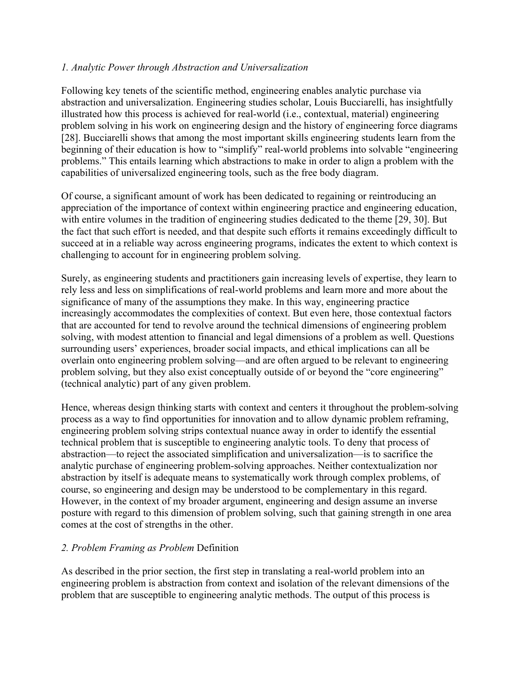## *1. Analytic Power through Abstraction and Universalization*

Following key tenets of the scientific method, engineering enables analytic purchase via abstraction and universalization. Engineering studies scholar, Louis Bucciarelli, has insightfully illustrated how this process is achieved for real-world (i.e., contextual, material) engineering problem solving in his work on engineering design and the history of engineering force diagrams [28]. Bucciarelli shows that among the most important skills engineering students learn from the beginning of their education is how to "simplify" real-world problems into solvable "engineering problems." This entails learning which abstractions to make in order to align a problem with the capabilities of universalized engineering tools, such as the free body diagram.

Of course, a significant amount of work has been dedicated to regaining or reintroducing an appreciation of the importance of context within engineering practice and engineering education, with entire volumes in the tradition of engineering studies dedicated to the theme [29, 30]. But the fact that such effort is needed, and that despite such efforts it remains exceedingly difficult to succeed at in a reliable way across engineering programs, indicates the extent to which context is challenging to account for in engineering problem solving.

Surely, as engineering students and practitioners gain increasing levels of expertise, they learn to rely less and less on simplifications of real-world problems and learn more and more about the significance of many of the assumptions they make. In this way, engineering practice increasingly accommodates the complexities of context. But even here, those contextual factors that are accounted for tend to revolve around the technical dimensions of engineering problem solving, with modest attention to financial and legal dimensions of a problem as well. Questions surrounding users' experiences, broader social impacts, and ethical implications can all be overlain onto engineering problem solving—and are often argued to be relevant to engineering problem solving, but they also exist conceptually outside of or beyond the "core engineering" (technical analytic) part of any given problem.

Hence, whereas design thinking starts with context and centers it throughout the problem-solving process as a way to find opportunities for innovation and to allow dynamic problem reframing, engineering problem solving strips contextual nuance away in order to identify the essential technical problem that is susceptible to engineering analytic tools. To deny that process of abstraction—to reject the associated simplification and universalization—is to sacrifice the analytic purchase of engineering problem-solving approaches. Neither contextualization nor abstraction by itself is adequate means to systematically work through complex problems, of course, so engineering and design may be understood to be complementary in this regard. However, in the context of my broader argument, engineering and design assume an inverse posture with regard to this dimension of problem solving, such that gaining strength in one area comes at the cost of strengths in the other.

#### *2. Problem Framing as Problem* Definition

As described in the prior section, the first step in translating a real-world problem into an engineering problem is abstraction from context and isolation of the relevant dimensions of the problem that are susceptible to engineering analytic methods. The output of this process is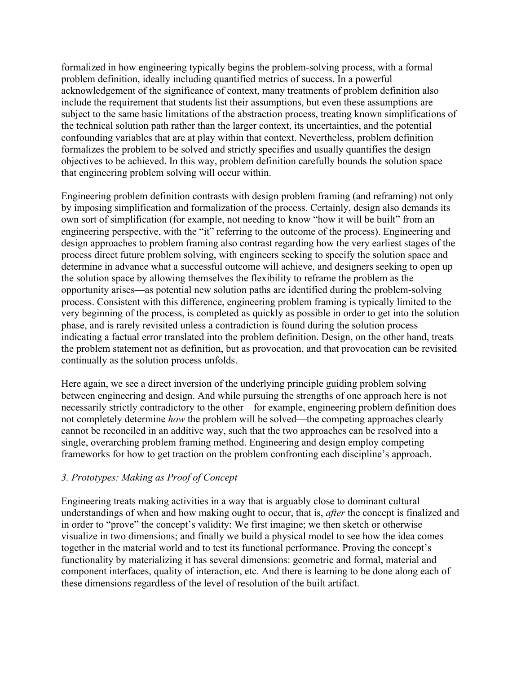formalized in how engineering typically begins the problem-solving process, with a formal problem definition, ideally including quantified metrics of success. In a powerful acknowledgement of the significance of context, many treatments of problem definition also include the requirement that students list their assumptions, but even these assumptions are subject to the same basic limitations of the abstraction process, treating known simplifications of the technical solution path rather than the larger context, its uncertainties, and the potential confounding variables that are at play within that context. Nevertheless, problem definition formalizes the problem to be solved and strictly specifies and usually quantifies the design objectives to be achieved. In this way, problem definition carefully bounds the solution space that engineering problem solving will occur within.

Engineering problem definition contrasts with design problem framing (and reframing) not only by imposing simplification and formalization of the process. Certainly, design also demands its own sort of simplification (for example, not needing to know "how it will be built" from an engineering perspective, with the "it" referring to the outcome of the process). Engineering and design approaches to problem framing also contrast regarding how the very earliest stages of the process direct future problem solving, with engineers seeking to specify the solution space and determine in advance what a successful outcome will achieve, and designers seeking to open up the solution space by allowing themselves the flexibility to reframe the problem as the opportunity arises—as potential new solution paths are identified during the problem-solving process. Consistent with this difference, engineering problem framing is typically limited to the very beginning of the process, is completed as quickly as possible in order to get into the solution phase, and is rarely revisited unless a contradiction is found during the solution process indicating a factual error translated into the problem definition. Design, on the other hand, treats the problem statement not as definition, but as provocation, and that provocation can be revisited continually as the solution process unfolds.

Here again, we see a direct inversion of the underlying principle guiding problem solving between engineering and design. And while pursuing the strengths of one approach here is not necessarily strictly contradictory to the other—for example, engineering problem definition does not completely determine *how* the problem will be solved—the competing approaches clearly cannot be reconciled in an additive way, such that the two approaches can be resolved into a single, overarching problem framing method. Engineering and design employ competing frameworks for how to get traction on the problem confronting each discipline's approach.

## *3. Prototypes: Making as Proof of Concept*

Engineering treats making activities in a way that is arguably close to dominant cultural understandings of when and how making ought to occur, that is, *after* the concept is finalized and in order to "prove" the concept's validity: We first imagine; we then sketch or otherwise visualize in two dimensions; and finally we build a physical model to see how the idea comes together in the material world and to test its functional performance. Proving the concept's functionality by materializing it has several dimensions: geometric and formal, material and component interfaces, quality of interaction, etc. And there is learning to be done along each of these dimensions regardless of the level of resolution of the built artifact.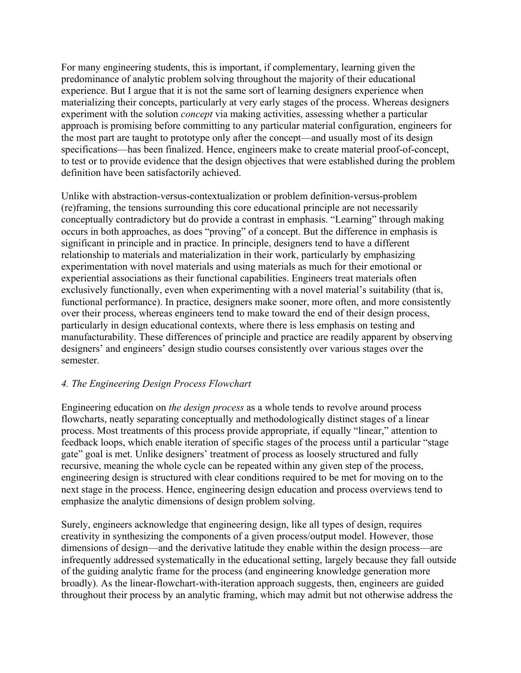For many engineering students, this is important, if complementary, learning given the predominance of analytic problem solving throughout the majority of their educational experience. But I argue that it is not the same sort of learning designers experience when materializing their concepts, particularly at very early stages of the process. Whereas designers experiment with the solution *concept* via making activities, assessing whether a particular approach is promising before committing to any particular material configuration, engineers for the most part are taught to prototype only after the concept—and usually most of its design specifications—has been finalized. Hence, engineers make to create material proof-of-concept, to test or to provide evidence that the design objectives that were established during the problem definition have been satisfactorily achieved.

Unlike with abstraction-versus-contextualization or problem definition-versus-problem (re)framing, the tensions surrounding this core educational principle are not necessarily conceptually contradictory but do provide a contrast in emphasis. "Learning" through making occurs in both approaches, as does "proving" of a concept. But the difference in emphasis is significant in principle and in practice. In principle, designers tend to have a different relationship to materials and materialization in their work, particularly by emphasizing experimentation with novel materials and using materials as much for their emotional or experiential associations as their functional capabilities. Engineers treat materials often exclusively functionally, even when experimenting with a novel material's suitability (that is, functional performance). In practice, designers make sooner, more often, and more consistently over their process, whereas engineers tend to make toward the end of their design process, particularly in design educational contexts, where there is less emphasis on testing and manufacturability. These differences of principle and practice are readily apparent by observing designers' and engineers' design studio courses consistently over various stages over the semester.

## *4. The Engineering Design Process Flowchart*

Engineering education on *the design process* as a whole tends to revolve around process flowcharts, neatly separating conceptually and methodologically distinct stages of a linear process. Most treatments of this process provide appropriate, if equally "linear," attention to feedback loops, which enable iteration of specific stages of the process until a particular "stage gate" goal is met. Unlike designers' treatment of process as loosely structured and fully recursive, meaning the whole cycle can be repeated within any given step of the process, engineering design is structured with clear conditions required to be met for moving on to the next stage in the process. Hence, engineering design education and process overviews tend to emphasize the analytic dimensions of design problem solving.

Surely, engineers acknowledge that engineering design, like all types of design, requires creativity in synthesizing the components of a given process/output model. However, those dimensions of design—and the derivative latitude they enable within the design process—are infrequently addressed systematically in the educational setting, largely because they fall outside of the guiding analytic frame for the process (and engineering knowledge generation more broadly). As the linear-flowchart-with-iteration approach suggests, then, engineers are guided throughout their process by an analytic framing, which may admit but not otherwise address the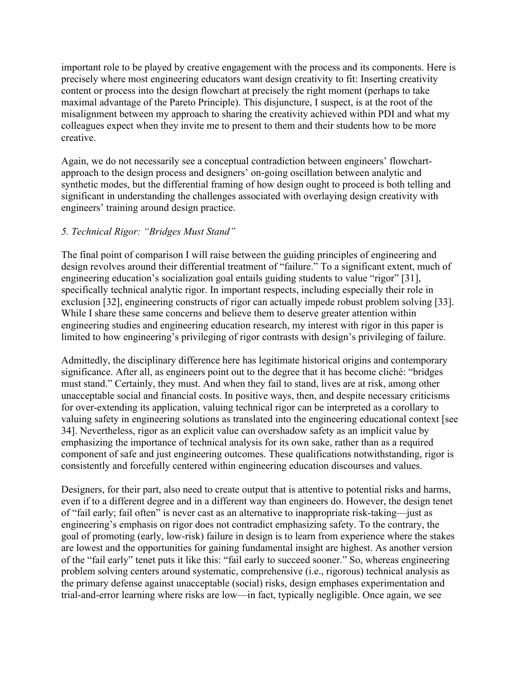important role to be played by creative engagement with the process and its components. Here is precisely where most engineering educators want design creativity to fit: Inserting creativity content or process into the design flowchart at precisely the right moment (perhaps to take maximal advantage of the Pareto Principle). This disjuncture, I suspect, is at the root of the misalignment between my approach to sharing the creativity achieved within PDI and what my colleagues expect when they invite me to present to them and their students how to be more creative.

Again, we do not necessarily see a conceptual contradiction between engineers' flowchartapproach to the design process and designers' on-going oscillation between analytic and synthetic modes, but the differential framing of how design ought to proceed is both telling and significant in understanding the challenges associated with overlaying design creativity with engineers' training around design practice.

## *5. Technical Rigor: "Bridges Must Stand"*

The final point of comparison I will raise between the guiding principles of engineering and design revolves around their differential treatment of "failure." To a significant extent, much of engineering education's socialization goal entails guiding students to value "rigor" [31], specifically technical analytic rigor. In important respects, including especially their role in exclusion [32], engineering constructs of rigor can actually impede robust problem solving [33]. While I share these same concerns and believe them to deserve greater attention within engineering studies and engineering education research, my interest with rigor in this paper is limited to how engineering's privileging of rigor contrasts with design's privileging of failure.

Admittedly, the disciplinary difference here has legitimate historical origins and contemporary significance. After all, as engineers point out to the degree that it has become cliché: "bridges must stand." Certainly, they must. And when they fail to stand, lives are at risk, among other unacceptable social and financial costs. In positive ways, then, and despite necessary criticisms for over-extending its application, valuing technical rigor can be interpreted as a corollary to valuing safety in engineering solutions as translated into the engineering educational context [see 34]. Nevertheless, rigor as an explicit value can overshadow safety as an implicit value by emphasizing the importance of technical analysis for its own sake, rather than as a required component of safe and just engineering outcomes. These qualifications notwithstanding, rigor is consistently and forcefully centered within engineering education discourses and values.

Designers, for their part, also need to create output that is attentive to potential risks and harms, even if to a different degree and in a different way than engineers do. However, the design tenet of "fail early; fail often" is never cast as an alternative to inappropriate risk-taking—just as engineering's emphasis on rigor does not contradict emphasizing safety. To the contrary, the goal of promoting (early, low-risk) failure in design is to learn from experience where the stakes are lowest and the opportunities for gaining fundamental insight are highest. As another version of the "fail early" tenet puts it like this: "fail early to succeed sooner." So, whereas engineering problem solving centers around systematic, comprehensive (i.e., rigorous) technical analysis as the primary defense against unacceptable (social) risks, design emphases experimentation and trial-and-error learning where risks are low—in fact, typically negligible. Once again, we see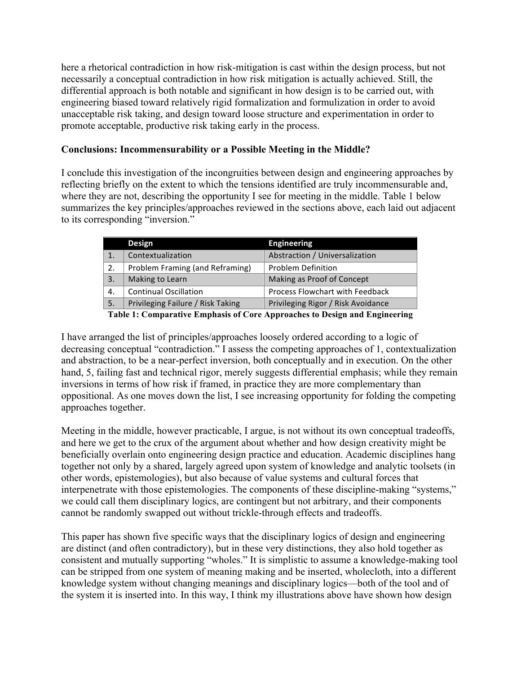here a rhetorical contradiction in how risk-mitigation is cast within the design process, but not necessarily a conceptual contradiction in how risk mitigation is actually achieved. Still, the differential approach is both notable and significant in how design is to be carried out, with engineering biased toward relatively rigid formalization and formulization in order to avoid unacceptable risk taking, and design toward loose structure and experimentation in order to promote acceptable, productive risk taking early in the process.

## **Conclusions: Incommensurability or a Possible Meeting in the Middle?**

I conclude this investigation of the incongruities between design and engineering approaches by reflecting briefly on the extent to which the tensions identified are truly incommensurable and, where they are not, describing the opportunity I see for meeting in the middle. Table 1 below summarizes the key principles/approaches reviewed in the sections above, each laid out adjacent to its corresponding "inversion."

|    | <b>Design</b>                     | <b>Engineering</b>                     |
|----|-----------------------------------|----------------------------------------|
|    | Contextualization                 | Abstraction / Universalization         |
| 2. | Problem Framing (and Reframing)   | <b>Problem Definition</b>              |
| 3. | Making to Learn                   | Making as Proof of Concept             |
| 4. | <b>Continual Oscillation</b>      | <b>Process Flowchart with Feedback</b> |
| 5. | Privileging Failure / Risk Taking | Privileging Rigor / Risk Avoidance     |

**Table 1: Comparative Emphasis of Core Approaches to Design and Engineering**

I have arranged the list of principles/approaches loosely ordered according to a logic of decreasing conceptual "contradiction." I assess the competing approaches of 1, contextualization and abstraction, to be a near-perfect inversion, both conceptually and in execution. On the other hand, 5, failing fast and technical rigor, merely suggests differential emphasis; while they remain inversions in terms of how risk if framed, in practice they are more complementary than oppositional. As one moves down the list, I see increasing opportunity for folding the competing approaches together.

Meeting in the middle, however practicable, I argue, is not without its own conceptual tradeoffs, and here we get to the crux of the argument about whether and how design creativity might be beneficially overlain onto engineering design practice and education. Academic disciplines hang together not only by a shared, largely agreed upon system of knowledge and analytic toolsets (in other words, epistemologies), but also because of value systems and cultural forces that interpenetrate with those epistemologies. The components of these discipline-making "systems," we could call them disciplinary logics, are contingent but not arbitrary, and their components cannot be randomly swapped out without trickle-through effects and tradeoffs.

This paper has shown five specific ways that the disciplinary logics of design and engineering are distinct (and often contradictory), but in these very distinctions, they also hold together as consistent and mutually supporting "wholes." It is simplistic to assume a knowledge-making tool can be stripped from one system of meaning making and be inserted, wholecloth, into a different knowledge system without changing meanings and disciplinary logics—both of the tool and of the system it is inserted into. In this way, I think my illustrations above have shown how design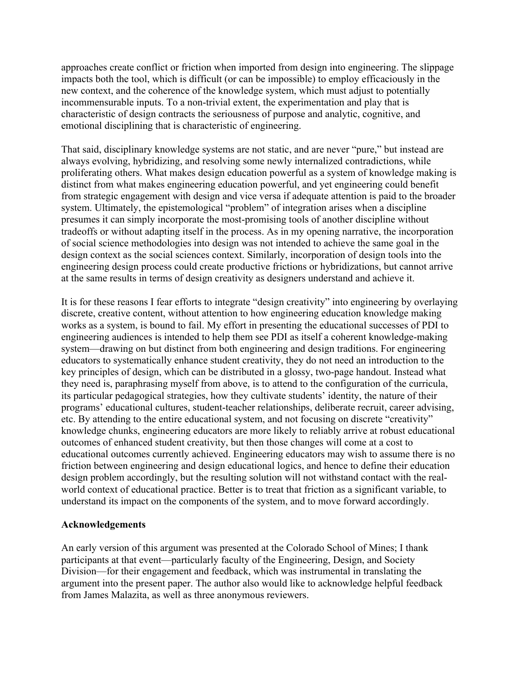approaches create conflict or friction when imported from design into engineering. The slippage impacts both the tool, which is difficult (or can be impossible) to employ efficaciously in the new context, and the coherence of the knowledge system, which must adjust to potentially incommensurable inputs. To a non-trivial extent, the experimentation and play that is characteristic of design contracts the seriousness of purpose and analytic, cognitive, and emotional disciplining that is characteristic of engineering.

That said, disciplinary knowledge systems are not static, and are never "pure," but instead are always evolving, hybridizing, and resolving some newly internalized contradictions, while proliferating others. What makes design education powerful as a system of knowledge making is distinct from what makes engineering education powerful, and yet engineering could benefit from strategic engagement with design and vice versa if adequate attention is paid to the broader system. Ultimately, the epistemological "problem" of integration arises when a discipline presumes it can simply incorporate the most-promising tools of another discipline without tradeoffs or without adapting itself in the process. As in my opening narrative, the incorporation of social science methodologies into design was not intended to achieve the same goal in the design context as the social sciences context. Similarly, incorporation of design tools into the engineering design process could create productive frictions or hybridizations, but cannot arrive at the same results in terms of design creativity as designers understand and achieve it.

It is for these reasons I fear efforts to integrate "design creativity" into engineering by overlaying discrete, creative content, without attention to how engineering education knowledge making works as a system, is bound to fail. My effort in presenting the educational successes of PDI to engineering audiences is intended to help them see PDI as itself a coherent knowledge-making system—drawing on but distinct from both engineering and design traditions. For engineering educators to systematically enhance student creativity, they do not need an introduction to the key principles of design, which can be distributed in a glossy, two-page handout. Instead what they need is, paraphrasing myself from above, is to attend to the configuration of the curricula, its particular pedagogical strategies, how they cultivate students' identity, the nature of their programs' educational cultures, student-teacher relationships, deliberate recruit, career advising, etc. By attending to the entire educational system, and not focusing on discrete "creativity" knowledge chunks, engineering educators are more likely to reliably arrive at robust educational outcomes of enhanced student creativity, but then those changes will come at a cost to educational outcomes currently achieved. Engineering educators may wish to assume there is no friction between engineering and design educational logics, and hence to define their education design problem accordingly, but the resulting solution will not withstand contact with the realworld context of educational practice. Better is to treat that friction as a significant variable, to understand its impact on the components of the system, and to move forward accordingly.

#### **Acknowledgements**

An early version of this argument was presented at the Colorado School of Mines; I thank participants at that event—particularly faculty of the Engineering, Design, and Society Division—for their engagement and feedback, which was instrumental in translating the argument into the present paper. The author also would like to acknowledge helpful feedback from James Malazita, as well as three anonymous reviewers.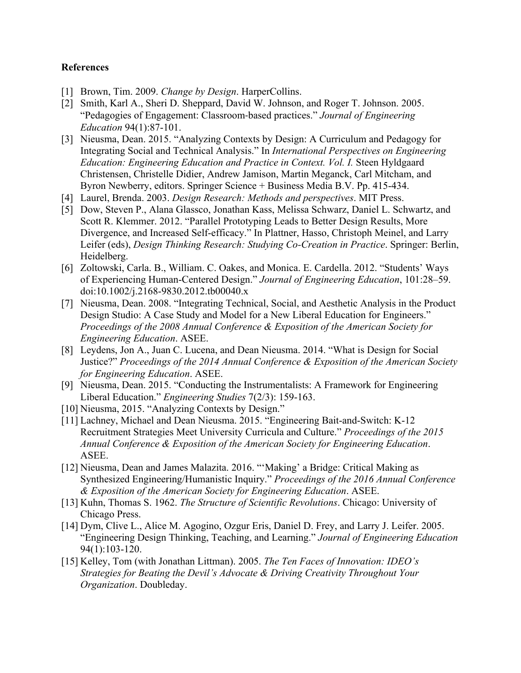### **References**

- [1] Brown, Tim. 2009. *Change by Design*. HarperCollins.
- [2] Smith, Karl A., Sheri D. Sheppard, David W. Johnson, and Roger T. Johnson. 2005. "Pedagogies of Engagement: Classroom-based practices." *Journal of Engineering Education* 94(1):87-101.
- [3] Nieusma, Dean. 2015. "Analyzing Contexts by Design: A Curriculum and Pedagogy for Integrating Social and Technical Analysis." In *International Perspectives on Engineering Education: Engineering Education and Practice in Context. Vol. I.* Steen Hyldgaard Christensen, Christelle Didier, Andrew Jamison, Martin Meganck, Carl Mitcham, and Byron Newberry, editors. Springer Science + Business Media B.V. Pp. 415-434.
- [4] Laurel, Brenda. 2003. *Design Research: Methods and perspectives*. MIT Press.
- [5] Dow, Steven P., Alana Glassco, Jonathan Kass, Melissa Schwarz, Daniel L. Schwartz, and Scott R. Klemmer. 2012. "Parallel Prototyping Leads to Better Design Results, More Divergence, and Increased Self-efficacy." In Plattner, Hasso, Christoph Meinel, and Larry Leifer (eds), *Design Thinking Research: Studying Co-Creation in Practice*. Springer: Berlin, Heidelberg.
- [6] Zoltowski, Carla. B., William. C. Oakes, and Monica. E. Cardella. 2012. "Students' Ways of Experiencing Human-Centered Design." *Journal of Engineering Education*, 101:28–59. doi:10.1002/j.2168-9830.2012.tb00040.x
- [7] Nieusma, Dean. 2008. "Integrating Technical, Social, and Aesthetic Analysis in the Product Design Studio: A Case Study and Model for a New Liberal Education for Engineers." *Proceedings of the 2008 Annual Conference & Exposition of the American Society for Engineering Education*. ASEE.
- [8] Leydens, Jon A., Juan C. Lucena, and Dean Nieusma. 2014. "What is Design for Social Justice?" *Proceedings of the 2014 Annual Conference & Exposition of the American Society for Engineering Education*. ASEE.
- [9] Nieusma, Dean. 2015. "Conducting the Instrumentalists: A Framework for Engineering Liberal Education." *Engineering Studies* 7(2/3): 159-163.
- [10] Nieusma, 2015. "Analyzing Contexts by Design."
- [11] Lachney, Michael and Dean Nieusma. 2015. "Engineering Bait-and-Switch: K-12 Recruitment Strategies Meet University Curricula and Culture." *Proceedings of the 2015 Annual Conference & Exposition of the American Society for Engineering Education*. ASEE.
- [12] Nieusma, Dean and James Malazita. 2016. "'Making' a Bridge: Critical Making as Synthesized Engineering/Humanistic Inquiry." *Proceedings of the 2016 Annual Conference & Exposition of the American Society for Engineering Education*. ASEE.
- [13] Kuhn, Thomas S. 1962. *The Structure of Scientific Revolutions*. Chicago: University of Chicago Press.
- [14] Dym, Clive L., Alice M. Agogino, Ozgur Eris, Daniel D. Frey, and Larry J. Leifer. 2005. "Engineering Design Thinking, Teaching, and Learning." *Journal of Engineering Education* 94(1):103-120.
- [15] Kelley, Tom (with Jonathan Littman). 2005. *The Ten Faces of Innovation: IDEO's Strategies for Beating the Devil's Advocate & Driving Creativity Throughout Your Organization*. Doubleday.